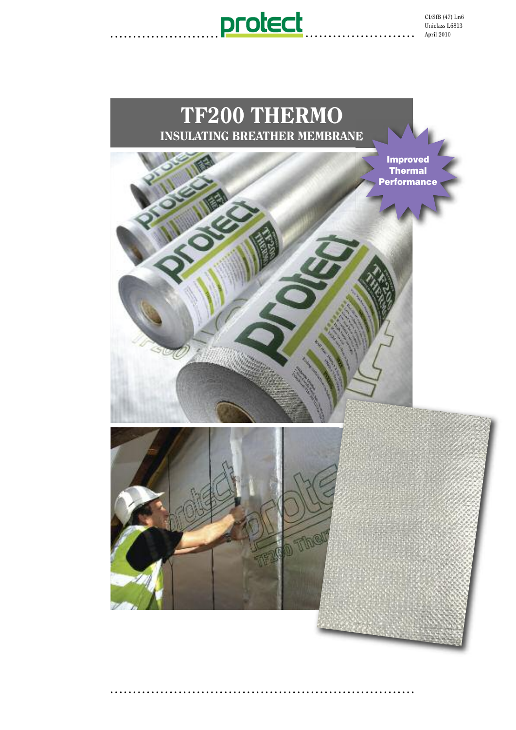

CI/SfB (47) Ln6 Uniclass L6813 April 2010

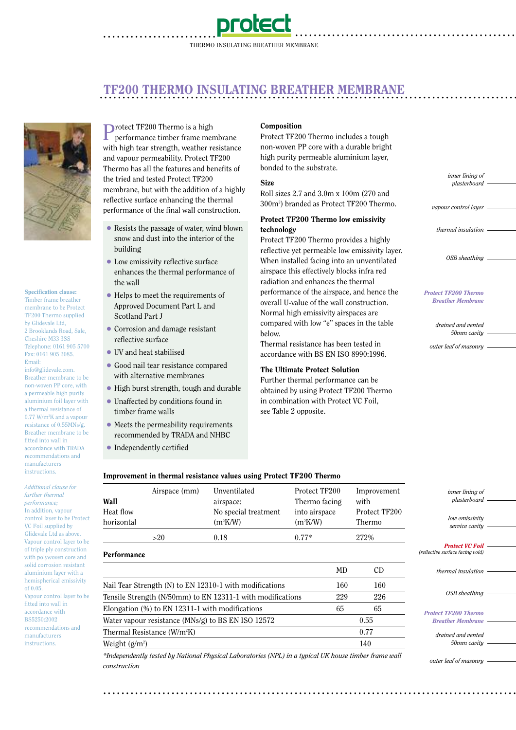

## **. . . . . . . . . . . . . . . . . . . . . . . . . . . . . . . . . . . . . . . . . . . . . . . . . . . . . . . . . . . . . . . . . . . . . . . . . . . . . . . . . . . . . . . . . . . .** TF200 THERMO INSULATING BREATHER MEMBRANE



#### Specification clause:

Timber frame breather membrane to be Protect TF200 Thermo supplied by Glidevale Ltd, 2 Brooklands Road, Sale, Cheshire M33 3SS Telephone: 0161 905 5700 Fax: 0161 905 2085. Email:

info@glidevale.com. Breather membrane to be non-woven PP core, with a permeable high purity aluminium foil layer with a thermal resistance of 0.77 W/m2K and a vapour resistance of 0.55MNs/g. Breather membrane to be fitted into wall in accordance with TRADA recommendations and manufacturers instructions.

*Additional clause for further thermal performance;* In addition, vapour control layer to be Protect VC Foil supplied by Glidevale Ltd as above. Vapour control layer to be of triple ply construction with polywoven core and solid corrosion resistant aluminium layer with a hemispherical emissivity of 0.05. Vapour control layer to be fitted into wall in accordance with BS5250:2002 recommendations and manufacturers instructions.

Protect TF200 Thermo is a high<br>performance timber frame me performance timber frame membrane with high tear strength, weather resistance and vapour permeability. Protect TF200 Thermo has all the features and benefits of the tried and tested Protect TF200 membrane, but with the addition of a highly reflective surface enhancing the thermal performance of the final wall construction.

- Resists the passage of water, wind blown snow and dust into the interior of the building
- Low emissivity reflective surface enhances the thermal performance of the wall
- Helps to meet the requirements of Approved Document Part L and Scotland Part J
- Corrosion and damage resistant reflective surface
- UV and heat stabilised
- Good nail tear resistance compared with alternative membranes
- High burst strength, tough and durable
- Unaffected by conditions found in timber frame walls
- Meets the permeability requirements recommended by TRADA and NHBC
- Independently certified

#### Composition

Protect TF200 Thermo includes a tough non-woven PP core with a durable bright high purity permeable aluminium layer, bonded to the substrate.

#### Size

Roll sizes 2.7 and 3.0m x 100m (270 and 300m<sup>2</sup> ) branded as Protect TF200 Thermo.

#### Protect TF200 Thermo low emissivity technology

Protect TF200 Thermo provides a highly reflective yet permeable low emissivity layer. When installed facing into an unventilated airspace this effectively blocks infra red radiation and enhances the thermal performance of the airspace, and hence the overall U-value of the wall construction. Normal high emissivity airspaces are compared with low "e" spaces in the table below.

Thermal resistance has been tested in accordance with BS EN ISO 8990:1996.

#### The Ultimate Protect Solution

Further thermal performance can be obtained by using Protect TF200 Thermo in combination with Protect VC Foil, see Table 2 opposite.

*inner lining of plasterboard*

**. . . . . . . . . . . . . . . . . . . . . . . . . . . . . . . . . . . . . . . . . . . . . . . .**

*vapour control layer*

*thermal insulation*

*OSB sheathing*

*Protect TF200 Thermo Breather Membrane*

> *drained and vented 50mm cavity*

*outer leaf of masonry*

*outer leaf of masonry*

### Improvement in thermal resistance values using Protect TF200 Thermo

| Wall<br>Heat flow                                          | Airspace (mm) | Unventilated<br>airspace:<br>No special treatment | Protect TF200<br>Thermo facing<br>into airspace | Improvement<br>with<br>Protect TF200 | inner lining of<br>plasterboard<br>low emissivity<br>service cavity |  |
|------------------------------------------------------------|---------------|---------------------------------------------------|-------------------------------------------------|--------------------------------------|---------------------------------------------------------------------|--|
| horizontal                                                 |               | $(m^2K/W)$                                        | $(m^2K/W)$                                      | Thermo                               |                                                                     |  |
|                                                            | >20           | 0.18                                              | $0.77*$                                         | 272%                                 |                                                                     |  |
| Performance                                                |               |                                                   |                                                 |                                      | <b>Protect VC Foil</b><br>(reflective surface facing void)          |  |
|                                                            |               |                                                   | MD                                              | <b>CD</b>                            | thermal insulation                                                  |  |
| Nail Tear Strength (N) to EN 12310-1 with modifications    |               |                                                   | 160                                             | 160                                  |                                                                     |  |
| Tensile Strength (N/50mm) to EN 12311-1 with modifications |               |                                                   | 229                                             | 226                                  | OSB sheathing                                                       |  |
| Elongation $(\%)$ to EN 12311-1 with modifications         |               |                                                   | 65                                              | 65                                   | <b>Protect TF200 Thermo</b>                                         |  |
| Water vapour resistance (MNs/g) to BS EN ISO 12572         |               |                                                   |                                                 | 0.55                                 | <b>Breather Membrane</b>                                            |  |
| Thermal Resistance (W/m <sup>2</sup> K)                    |               |                                                   |                                                 | 0.77                                 | drained and vented                                                  |  |
| Weight $(g/m^2)$                                           |               |                                                   | 140                                             |                                      | 50mm cavity                                                         |  |
|                                                            |               |                                                   |                                                 |                                      |                                                                     |  |

**. . . . . . . . . . . . . . . . . . . . . . . . . . . . . . . . . . . . . . . . . . . . . . . . . . . . . . . . . . . . . . . . . . . . . . . . . . . . . . . . . . . . . . . . . . .**

*\*Independently tested by National Physical Laboratories (NPL) in a typical UK house timber frame wall construction*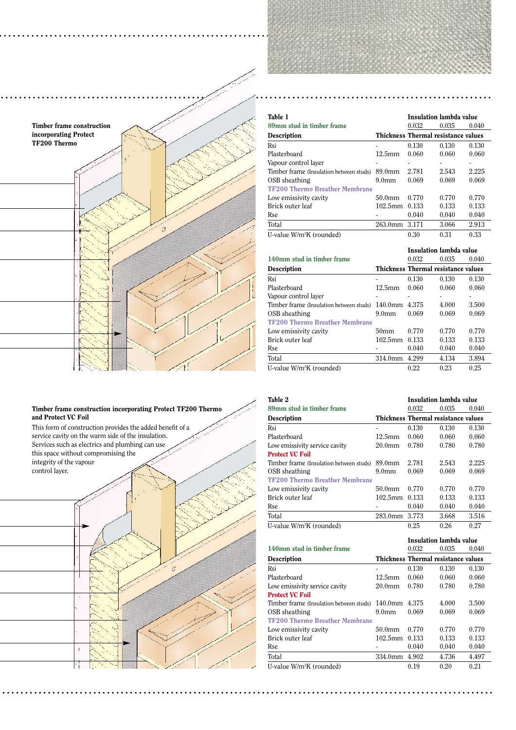

**. . . . . . . . . . . . . . . . . . . . . . . . . . . . . . . . . . . . . . . . . . . . . . . . . . . . . . . . . . . . . . . . . . .**

#### Timber frame construction incorporating Protect TF200 Thermo and Protect VC Foil

.<br>0

This form of construction provides the added benefit of a service cavity on the warm side of the insulation. Services such as electrics and plumbing can use this space without compromising the integrity of the vapour control layer.

 $\overline{1}$ 

Τi

| Table 1                                 | Insulation lambda value |                                     |       |       |
|-----------------------------------------|-------------------------|-------------------------------------|-------|-------|
| 89mm stud in timber frame               |                         | 0.032                               | 0.035 | 0.040 |
| <b>Description</b>                      |                         | Thickness Thermal resistance values |       |       |
| Rsi                                     |                         | 0.130                               | 0.130 | 0.130 |
| Plasterboard                            | 12.5 <sub>mm</sub>      | 0.060                               | 0.060 | 0.060 |
| Vapour control layer                    |                         |                                     |       |       |
| Timber frame (Insulation between studs) | 89.0 <sub>mm</sub>      | 2.781                               | 2.543 | 2.225 |
| OSB sheathing                           | 9.0 <sub>mm</sub>       | 0.069                               | 0.069 | 0.069 |
| <b>TF200 Thermo Breather Membrane</b>   |                         |                                     |       |       |
| Low emissivity cavity                   | $50.0$ mm               | 0.770                               | 0.770 | 0.770 |
| Brick outer leaf                        | $102.5$ mm              | 0.133                               | 0.133 | 0.133 |
| Rse                                     |                         | 0.040                               | 0.040 | 0.040 |
| Total                                   | $263.0$ mm              | 3.171                               | 3.066 | 2.913 |
| U-value W/m <sup>2</sup> K (rounded)    |                         | 0.30                                | 0.31  | 0.33  |

|                                         |                                     | Insulation lambda value |       |       |
|-----------------------------------------|-------------------------------------|-------------------------|-------|-------|
| 140mm stud in timber frame              |                                     | 0.032                   | 0.035 | 0.040 |
| <b>Description</b>                      | Thickness Thermal resistance values |                         |       |       |
| Rsi                                     |                                     | 0.130                   | 0.130 | 0.130 |
| Plasterboard                            | 12.5 <sub>mm</sub>                  | 0.060                   | 0.060 | 0.060 |
| Vapour control layer                    |                                     |                         |       |       |
| Timber frame (Insulation between studs) | $140.0$ mm                          | 4.375                   | 4.000 | 3.500 |
| OSB sheathing                           | 9.0 <sub>mm</sub>                   | 0.069                   | 0.069 | 0.069 |
| <b>TF200 Thermo Breather Membrane</b>   |                                     |                         |       |       |
| Low emissivity cavity                   | 50 <sub>mm</sub>                    | 0.770                   | 0.770 | 0.770 |
| Brick outer leaf                        | $102.5$ mm                          | 0.133                   | 0.133 | 0.133 |
| Rse                                     |                                     | 0.040                   | 0.040 | 0.040 |
| Total                                   | 314.0mm                             | 4.299                   | 4.134 | 3.894 |
| U-value W/m <sup>2</sup> K (rounded)    |                                     | 0.22                    | 0.23  | 0.25  |

| Table 2                                 | Insulation lambda value |                                     |       |       |
|-----------------------------------------|-------------------------|-------------------------------------|-------|-------|
| 89mm stud in timber frame               |                         | 0.032                               | 0.035 | 0.040 |
| <b>Description</b>                      |                         | Thickness Thermal resistance values |       |       |
| Rsi                                     | ۰                       | 0.130                               | 0.130 | 0.130 |
| Plasterboard                            | $12.5$ mm               | 0.060                               | 0.060 | 0.060 |
| Low emissivity service cavity           | 20.0 <sub>mm</sub>      | 0.780                               | 0.780 | 0.780 |
| <b>Protect VC Foil</b>                  |                         |                                     |       |       |
| Timber frame (Insulation between studs) | 89.0 <sub>mm</sub>      | 2.781                               | 2.543 | 2.225 |
| OSB sheathing                           | 9.0 <sub>mm</sub>       | 0.069                               | 0.069 | 0.069 |
| <b>TF200 Thermo Breather Membrane</b>   |                         |                                     |       |       |
| Low emissivity cavity                   | 50.0 <sub>mm</sub>      | 0.770                               | 0.770 | 0.770 |
| Brick outer leaf                        | $102.5$ mm              | 0.133                               | 0.133 | 0.133 |
| Rse                                     |                         | 0.040                               | 0.040 | 0.040 |
| Total                                   | 283.0mm                 | 3.773                               | 3.668 | 3.516 |
| U-value W/m <sup>2</sup> K (rounded)    |                         | 0.25                                | 0.26  | 0.27  |

|                                         |                                     | Insulation lambda value |       |       |
|-----------------------------------------|-------------------------------------|-------------------------|-------|-------|
| 140mm stud in timber frame              |                                     | 0.032                   | 0.035 | 0.040 |
| <b>Description</b>                      | Thickness Thermal resistance values |                         |       |       |
| Rsi                                     | ۰                                   | 0.130                   | 0.130 | 0.130 |
| Plasterboard                            | $12.5$ mm                           | 0.060                   | 0.060 | 0.060 |
| Low emissivity service cavity           | 20.0 <sub>mm</sub>                  | 0.780                   | 0.780 | 0.780 |
| <b>Protect VC Foil</b>                  |                                     |                         |       |       |
| Timber frame (Insulation between studs) | $140.0$ mm                          | 4.375                   | 4.000 | 3.500 |
| OSB sheathing                           | 9.0 <sub>mm</sub>                   | 0.069                   | 0.069 | 0.069 |
| <b>TF200 Thermo Breather Membrane</b>   |                                     |                         |       |       |
| Low emissivity cavity                   | 50.0mm                              | 0.770                   | 0.770 | 0.770 |
| Brick outer leaf                        | $102.5$ mm                          | 0.133                   | 0.133 | 0.133 |
| Rse                                     |                                     | 0.040                   | 0.040 | 0.040 |
| Total                                   | 334.0 <sub>mm</sub>                 | 4.902                   | 4.736 | 4.497 |
| U-value W/m <sup>2</sup> K (rounded)    |                                     | 0.19                    | 0.20  | 0.21  |

**. . . . . . . . . . . . . . . . . . . . . . . . . . . . . . . . . . . . . . . . . . . . . . . . . . . . . . . . . . . . . . . . . . . . . . . . . . . . . . . . . . . . . . . . . . . . . . . . . . . . . . . . . . . .**